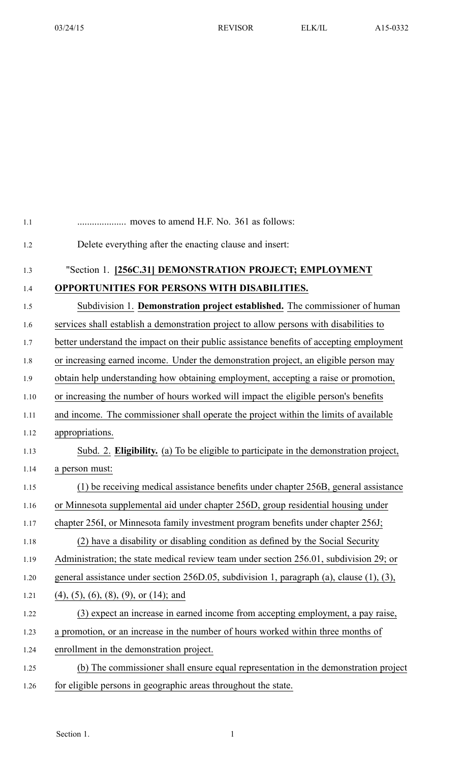| 1.1  |                                                                                          |
|------|------------------------------------------------------------------------------------------|
| 1.2  | Delete everything after the enacting clause and insert:                                  |
| 1.3  | "Section 1. [256C.31] DEMONSTRATION PROJECT; EMPLOYMENT                                  |
| 1.4  | OPPORTUNITIES FOR PERSONS WITH DISABILITIES.                                             |
| 1.5  | Subdivision 1. Demonstration project established. The commissioner of human              |
| 1.6  | services shall establish a demonstration project to allow persons with disabilities to   |
| 1.7  | better understand the impact on their public assistance benefits of accepting employment |
| 1.8  | or increasing earned income. Under the demonstration project, an eligible person may     |
| 1.9  | obtain help understanding how obtaining employment, accepting a raise or promotion,      |
| 1.10 | or increasing the number of hours worked will impact the eligible person's benefits      |
| 1.11 | and income. The commissioner shall operate the project within the limits of available    |
| 1.12 | appropriations.                                                                          |
| 1.13 | Subd. 2. Eligibility. (a) To be eligible to participate in the demonstration project,    |
| 1.14 | a person must:                                                                           |
| 1.15 | (1) be receiving medical assistance benefits under chapter 256B, general assistance      |
| 1.16 | or Minnesota supplemental aid under chapter 256D, group residential housing under        |
| 1.17 | chapter 256I, or Minnesota family investment program benefits under chapter 256J;        |
| 1.18 | (2) have a disability or disabling condition as defined by the Social Security           |
| 1.19 | Administration; the state medical review team under section 256.01, subdivision 29; or   |
| 1.20 | general assistance under section 256D.05, subdivision 1, paragraph (a), clause (1), (3), |
| 1.21 | $(4)$ , $(5)$ , $(6)$ , $(8)$ , $(9)$ , or $(14)$ ; and                                  |
| 1.22 | (3) expect an increase in earned income from accepting employment, a pay raise,          |
| 1.23 | a promotion, or an increase in the number of hours worked within three months of         |
| 1.24 | enrollment in the demonstration project.                                                 |
| 1.25 | (b) The commissioner shall ensure equal representation in the demonstration project      |
| 1.26 | for eligible persons in geographic areas throughout the state.                           |
|      |                                                                                          |